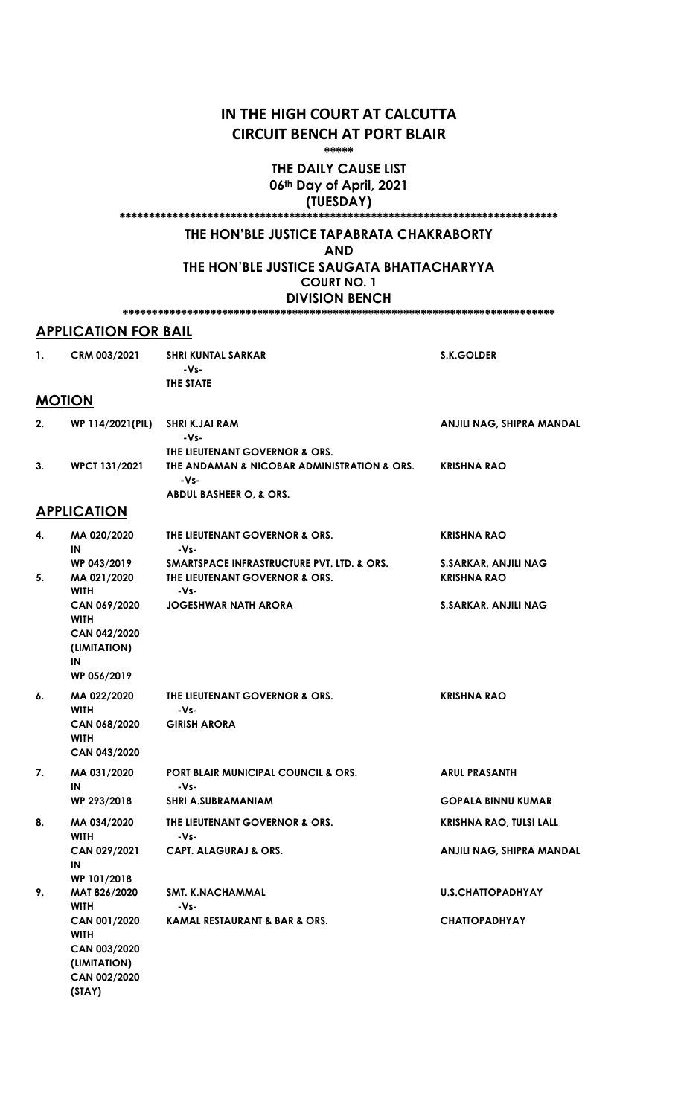## IN THE HIGH COURT AT CALCUTTA CIRCUIT BENCH AT PORT BLAIR

\*\*\*\*\*

### THE DAILY CAUSE LIST 06th Day of April, 2021

(TUESDAY)

\*\*\*\*\*\*\*\*\*\*\*\*\*\*\*\*\*\*\*\*\*\*\*\*\*\*\*\*\*\*\*\*\*\*\*\*\*\*\*\*\*\*\*\*\*\*\*\*\*\*\*\*\*\*\*\*\*\*\*\*\*\*\*\*\*\*\*\*\*\*\*\*\*\*\*

## THE HON'BLE JUSTICE TAPABRATA CHAKRABORTY

AND

THE HON'BLE JUSTICE SAUGATA BHATTACHARYYA COURT NO. 1

#### DIVISION BENCH \*\*\*\*\*\*\*\*\*\*\*\*\*\*\*\*\*\*\*\*\*\*\*\*\*\*\*\*\*\*\*\*\*\*\*\*\*\*\*\*\*\*\*\*\*\*\*\*\*\*\*\*\*\*\*\*\*\*\*\*\*\*\*\*\*\*\*\*\*\*\*\*\*\*

### APPLICATION FOR BAIL

| 1. | CRM 003/2021                                                                     | <b>SHRI KUNTAL SARKAR</b><br>-Vs-                                                                                | <b>S.K.GOLDER</b>                                 |
|----|----------------------------------------------------------------------------------|------------------------------------------------------------------------------------------------------------------|---------------------------------------------------|
|    |                                                                                  | <b>THE STATE</b>                                                                                                 |                                                   |
|    | <b>MOTION</b>                                                                    |                                                                                                                  |                                                   |
| 2. | WP 114/2021(PIL)                                                                 | <b>SHRI K.JAI RAM</b><br>$-Vs-$                                                                                  | ANJILI NAG, SHIPRA MANDAL                         |
| 3. | WPCT 131/2021                                                                    | THE LIEUTENANT GOVERNOR & ORS.<br>THE ANDAMAN & NICOBAR ADMINISTRATION & ORS.<br>-Vs-<br>ABDUL BASHEER O, & ORS. | <b>KRISHNA RAO</b>                                |
|    | <b>APPLICATION</b>                                                               |                                                                                                                  |                                                   |
|    |                                                                                  |                                                                                                                  |                                                   |
| 4. | MA 020/2020<br>IN                                                                | THE LIEUTENANT GOVERNOR & ORS.<br>$-Vs-$                                                                         | <b>KRISHNA RAO</b>                                |
| 5. | WP 043/2019<br>MA 021/2020<br><b>WITH</b>                                        | <b>SMARTSPACE INFRASTRUCTURE PVT. LTD. &amp; ORS.</b><br>THE LIEUTENANT GOVERNOR & ORS.<br>-Vs-                  | <b>S.SARKAR, ANJILI NAG</b><br><b>KRISHNA RAO</b> |
|    | CAN 069/2020<br><b>WITH</b><br>CAN 042/2020<br>(LIMITATION)<br>IN<br>WP 056/2019 | <b>JOGESHWAR NATH ARORA</b>                                                                                      | <b>S.SARKAR, ANJILI NAG</b>                       |
| 6. | MA 022/2020<br><b>WITH</b><br>CAN 068/2020<br><b>WITH</b><br>CAN 043/2020        | THE LIEUTENANT GOVERNOR & ORS.<br>$-Vs-$<br><b>GIRISH ARORA</b>                                                  | <b>KRISHNA RAO</b>                                |
| 7. | MA 031/2020<br>IN                                                                | <b>PORT BLAIR MUNICIPAL COUNCIL &amp; ORS.</b><br>$-Vs-$                                                         | <b>ARUL PRASANTH</b>                              |
|    | WP 293/2018                                                                      | <b>SHRI A.SUBRAMANIAM</b>                                                                                        | <b>GOPALA BINNU KUMAR</b>                         |
| 8. | MA 034/2020<br><b>WITH</b>                                                       | THE LIEUTENANT GOVERNOR & ORS.<br>-Vs-                                                                           | <b>KRISHNA RAO, TULSI LALL</b>                    |
|    | CAN 029/2021<br>IN<br>WP 101/2018                                                | <b>CAPT. ALAGURAJ &amp; ORS.</b>                                                                                 | ANJILI NAG, SHIPRA MANDAL                         |
| 9. | MAT 826/2020<br><b>WITH</b>                                                      | SMT. K.NACHAMMAL<br>-Vs-                                                                                         | <b>U.S.CHATTOPADHYAY</b>                          |
|    | CAN 001/2020<br><b>WITH</b><br>CAN 003/2020<br>(LIMITATION)<br>1.000/0000        | <b>KAMAL RESTAURANT &amp; BAR &amp; ORS.</b>                                                                     | <b>CHATTOPADHYAY</b>                              |

CAN 002/2020 (STAY)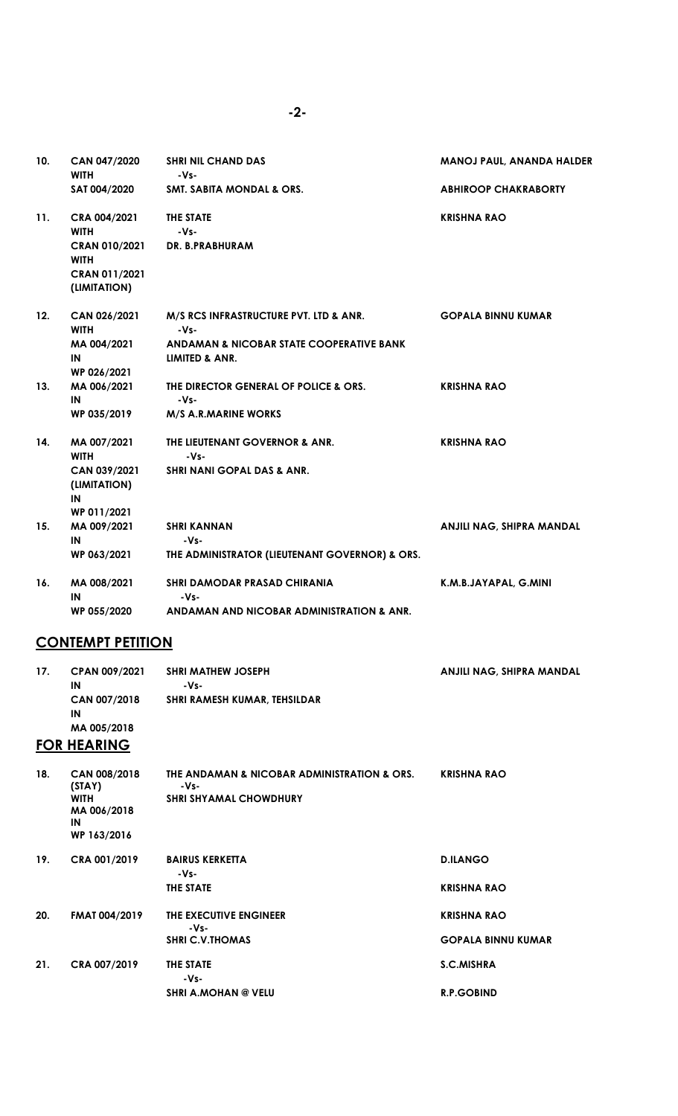| 10. | <b>CAN 047/2020</b><br><b>WITH</b>                                   | <b>SHRI NIL CHAND DAS</b><br>$-Vs-$                                   | <b>MANOJ PAUL, ANANDA HALDER</b> |
|-----|----------------------------------------------------------------------|-----------------------------------------------------------------------|----------------------------------|
|     | SAT 004/2020                                                         | SMT. SABITA MONDAL & ORS.                                             | <b>ABHIROOP CHAKRABORTY</b>      |
| 11. | CRA 004/2021<br><b>WITH</b>                                          | THE STATE<br>-Vs-                                                     | <b>KRISHNA RAO</b>               |
|     | <b>CRAN 010/2021</b><br><b>WITH</b><br>CRAN 011/2021<br>(LIMITATION) | DR. B.PRABHURAM                                                       |                                  |
| 12. | CAN 026/2021<br><b>WITH</b>                                          | M/S RCS INFRASTRUCTURE PVT. LTD & ANR.<br>$-Vs-$                      | <b>GOPALA BINNU KUMAR</b>        |
|     | MA 004/2021<br>IN<br>WP 026/2021                                     | ANDAMAN & NICOBAR STATE COOPERATIVE BANK<br><b>LIMITED &amp; ANR.</b> |                                  |
| 13. | MA 006/2021<br>IN                                                    | THE DIRECTOR GENERAL OF POLICE & ORS.<br>-Vs-                         | <b>KRISHNA RAO</b>               |
|     | WP 035/2019                                                          | <b>M/S A.R.MARINE WORKS</b>                                           |                                  |
| 14. | MA 007/2021<br><b>WITH</b>                                           | THE LIEUTENANT GOVERNOR & ANR.<br>$-Vs-$                              | <b>KRISHNA RAO</b>               |
|     | CAN 039/2021<br>(LIMITATION)<br>IN                                   | <b>SHRI NANI GOPAL DAS &amp; ANR.</b>                                 |                                  |
| 15. | WP 011/2021<br>MA 009/2021                                           | <b>SHRI KANNAN</b>                                                    | ANJILI NAG, SHIPRA MANDAL        |
|     | IN                                                                   | $-Vs-$                                                                |                                  |
|     | WP 063/2021                                                          | THE ADMINISTRATOR (LIEUTENANT GOVERNOR) & ORS.                        |                                  |
| 16. | MA 008/2021<br>IN                                                    | <b>SHRI DAMODAR PRASAD CHIRANIA</b><br>$-Vs-$                         | K.M.B.JAYAPAL, G.MINI            |
|     | WP 055/2020                                                          | ANDAMAN AND NICOBAR ADMINISTRATION & ANR.                             |                                  |

# **CONTEMPT PETITION**

| 17. | <b>CPAN 009/2021</b><br>IN                                                | <b>SHRI MATHEW JOSEPH</b><br>-Vs-                                                    | ANJILI NAG, SHIPRA MANDAL |
|-----|---------------------------------------------------------------------------|--------------------------------------------------------------------------------------|---------------------------|
|     | CAN 007/2018<br>IN                                                        | SHRI RAMESH KUMAR, TEHSILDAR                                                         |                           |
|     | MA 005/2018<br><b>FOR HEARING</b>                                         |                                                                                      |                           |
|     |                                                                           |                                                                                      |                           |
| 18. | CAN 008/2018<br>(STAY)<br><b>WITH</b><br>MA 006/2018<br>IN<br>WP 163/2016 | THE ANDAMAN & NICOBAR ADMINISTRATION & ORS.<br>-Vs-<br><b>SHRI SHYAMAL CHOWDHURY</b> | <b>KRISHNA RAO</b>        |
| 19. | CRA 001/2019                                                              | <b>BAIRUS KERKETTA</b><br>$-Vs-$                                                     | <b>D.ILANGO</b>           |
|     |                                                                           | THE STATE                                                                            | <b>KRISHNA RAO</b>        |
| 20. | <b>FMAT 004/2019</b>                                                      | THE EXECUTIVE ENGINEER<br>-Vs-                                                       | <b>KRISHNA RAO</b>        |
|     |                                                                           | <b>SHRI C.V.THOMAS</b>                                                               | <b>GOPALA BINNU KUMAR</b> |
| 21. | CRA 007/2019                                                              | THE STATE<br>-Vs-                                                                    | <b>S.C.MISHRA</b>         |
|     |                                                                           | <b>SHRI A.MOHAN @ VELU</b>                                                           | <b>R.P.GOBIND</b>         |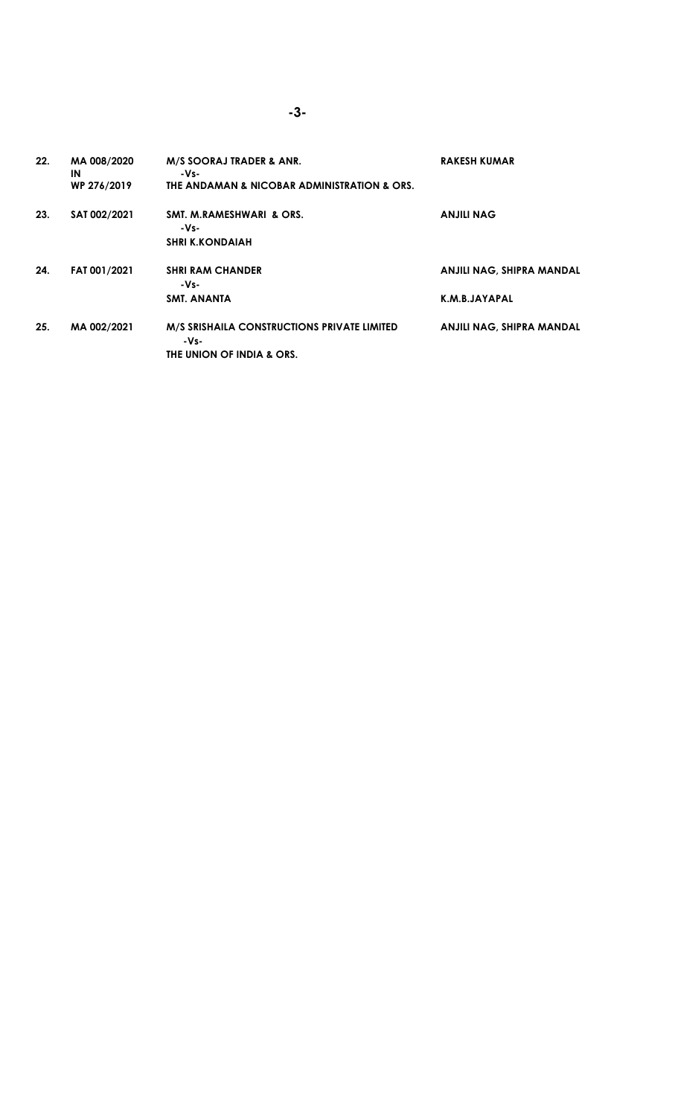| 22. | MA 008/2020<br>ΙN<br>WP 276/2019 | M/S SOORAJ TRADER & ANR.<br>-Vs-<br>THE ANDAMAN & NICOBAR ADMINISTRATION & ORS.         | <b>RAKESH KUMAR</b>                        |
|-----|----------------------------------|-----------------------------------------------------------------------------------------|--------------------------------------------|
| 23. | SAT 002/2021                     | SMT. M.RAMESHWARI & ORS.<br>-Vs-<br><b>SHRI K.KONDAIAH</b>                              | <b>ANJILI NAG</b>                          |
| 24. | FAT 001/2021                     | <b>SHRI RAM CHANDER</b><br>-Vs-<br><b>SMT. ANANTA</b>                                   | ANJILI NAG, SHIPRA MANDAL<br>K.M.B.JAYAPAL |
| 25. | MA 002/2021                      | <b>M/S SRISHAILA CONSTRUCTIONS PRIVATE LIMITED</b><br>-Vs-<br>THE UNION OF INDIA & ORS. | ANJILI NAG, SHIPRA MANDAL                  |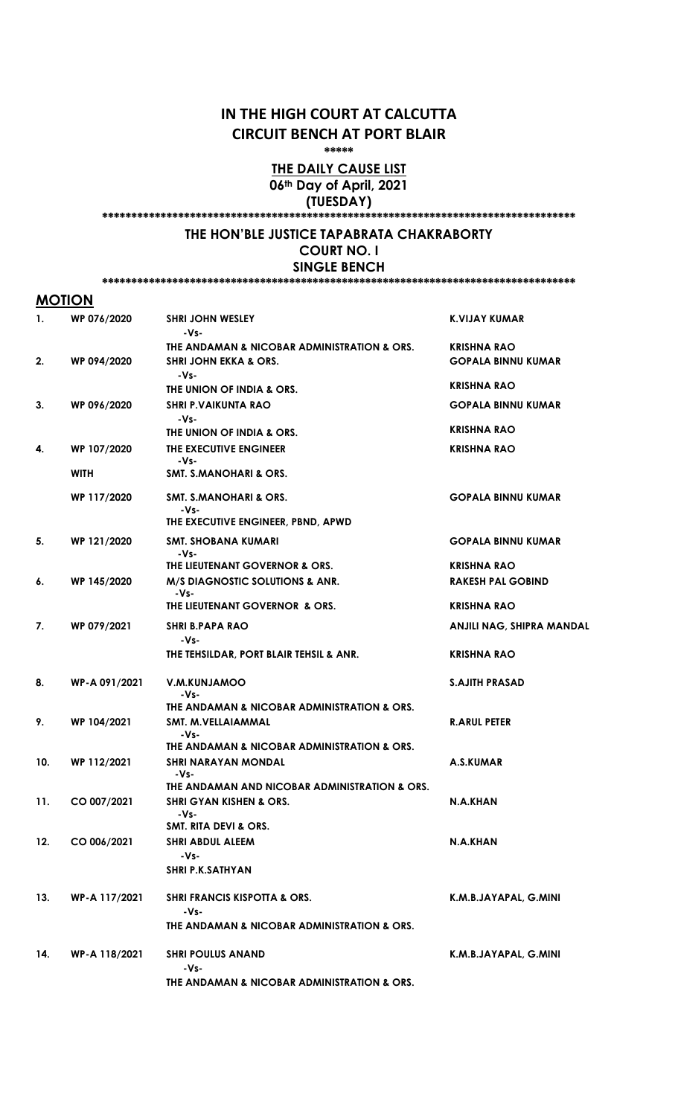## IN THE HIGH COURT AT CALCUTTA CIRCUIT BENCH AT PORT BLAIR

\*\*\*\*\*

## THE DAILY CAUSE LIST 06th Day of April, 2021 (TUESDAY)

\*\*\*\*\*\*\*\*\*\*\*\*\*\*\*\*\*\*\*\*\*\*\*\*\*\*\*\*\*\*\*\*\*\*\*\*\*\*\*\*\*\*\*\*\*\*\*\*\*\*\*\*\*\*\*\*\*\*\*\*\*\*\*\*\*\*\*\*\*\*\*\*\*\*\*\*\*\*\*\*\*

### THE HON'BLE JUSTICE TAPABRATA CHAKRABORTY COURT NO. I

SINGLE BENCH

#### \*\*\*\*\*\*\*\*\*\*\*\*\*\*\*\*\*\*\*\*\*\*\*\*\*\*\*\*\*\*\*\*\*\*\*\*\*\*\*\*\*\*\*\*\*\*\*\*\*\*\*\*\*\*\*\*\*\*\*\*\*\*\*\*\*\*\*\*\*\*\*\*\*\*\*\*\*\*\*\*\*

### MOTION

| 1.  | WP 076/2020   | <b>SHRI JOHN WESLEY</b><br>-Vs-                 | <b>K.VIJAY KUMAR</b>      |
|-----|---------------|-------------------------------------------------|---------------------------|
|     |               | THE ANDAMAN & NICOBAR ADMINISTRATION & ORS.     | <b>KRISHNA RAO</b>        |
| 2.  | WP 094/2020   | <b>SHRI JOHN EKKA &amp; ORS.</b><br>-Vs-        | <b>GOPALA BINNU KUMAR</b> |
|     |               | THE UNION OF INDIA & ORS.                       | <b>KRISHNA RAO</b>        |
| 3.  | WP 096/2020   | <b>SHRI P.VAIKUNTA RAO</b><br>-Vs-              | <b>GOPALA BINNU KUMAR</b> |
|     |               | THE UNION OF INDIA & ORS.                       | <b>KRISHNA RAO</b>        |
| 4.  | WP 107/2020   | THE EXECUTIVE ENGINEER<br>-Vs-                  | <b>KRISHNA RAO</b>        |
|     | <b>WITH</b>   | <b>SMT. S.MANOHARI &amp; ORS.</b>               |                           |
|     | WP 117/2020   | SMT. S.MANOHARI & ORS.<br>-Vs-                  | <b>GOPALA BINNU KUMAR</b> |
|     |               | THE EXECUTIVE ENGINEER, PBND, APWD              |                           |
| 5.  | WP 121/2020   | <b>SMT. SHOBANA KUMARI</b><br>-Vs-              | <b>GOPALA BINNU KUMAR</b> |
|     |               | THE LIEUTENANT GOVERNOR & ORS.                  | <b>KRISHNA RAO</b>        |
| 6.  | WP 145/2020   | M/S DIAGNOSTIC SOLUTIONS & ANR.                 | <b>RAKESH PAL GOBIND</b>  |
|     |               | -Vs-<br>THE LIEUTENANT GOVERNOR & ORS.          | <b>KRISHNA RAO</b>        |
| 7.  | WP 079/2021   | <b>SHRI B.PAPA RAO</b><br>-Vs-                  | ANJILI NAG, SHIPRA MANDAL |
|     |               | THE TEHSILDAR, PORT BLAIR TEHSIL & ANR.         | <b>KRISHNA RAO</b>        |
| 8.  | WP-A 091/2021 | V.M.KUNJAMOO<br>-Vs-                            | <b>S.AJITH PRASAD</b>     |
|     |               | THE ANDAMAN & NICOBAR ADMINISTRATION & ORS.     |                           |
| 9.  | WP 104/2021   | SMT. M.VELLAIAMMAL<br>-Vs-                      | <b>R.ARUL PETER</b>       |
|     |               | THE ANDAMAN & NICOBAR ADMINISTRATION & ORS.     |                           |
| 10. | WP 112/2021   | <b>SHRI NARAYAN MONDAL</b><br>-Vs-              | A.S.KUMAR                 |
|     |               | THE ANDAMAN AND NICOBAR ADMINISTRATION & ORS.   |                           |
| 11. | CO 007/2021   | <b>SHRI GYAN KISHEN &amp; ORS.</b><br>$-Vs-$    | N.A.KHAN                  |
|     |               | <b>SMT. RITA DEVI &amp; ORS.</b>                |                           |
| 12. | CO 006/2021   | <b>SHRI ABDUL ALEEM</b><br>-Vs-                 | N.A.KHAN                  |
|     |               | <b>SHRI P.K.SATHYAN</b>                         |                           |
|     |               |                                                 |                           |
| 13. | WP-A 117/2021 | <b>SHRI FRANCIS KISPOTTA &amp; ORS.</b><br>-Vs- | K.M.B.JAYAPAL, G.MINI     |
|     |               | THE ANDAMAN & NICOBAR ADMINISTRATION & ORS.     |                           |
| 14. | WP-A 118/2021 | <b>SHRI POULUS ANAND</b><br>-Vs-                | K.M.B.JAYAPAL, G.MINI     |
|     |               | THE ANDAMAN & NICOBAR ADMINISTRATION & ORS.     |                           |
|     |               |                                                 |                           |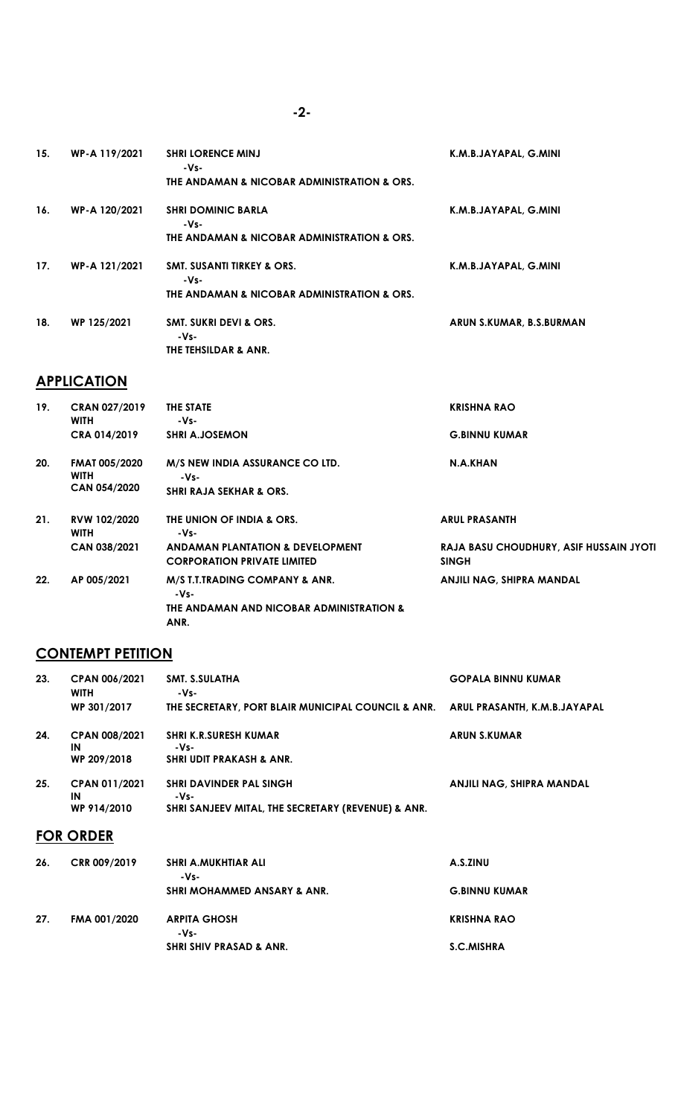| WP-A 119/2021 | <b>SHRI LORENCE MINJ</b><br>-Vs-              | K.M.B.JAYAPAL, G.MINI    |
|---------------|-----------------------------------------------|--------------------------|
|               | THE ANDAMAN & NICOBAR ADMINISTRATION & ORS.   |                          |
| WP-A 120/2021 | <b>SHRI DOMINIC BARLA</b><br>-Vs-             | K.M.B.JAYAPAL, G.MINI    |
|               | THE ANDAMAN & NICOBAR ADMINISTRATION & ORS.   |                          |
| WP-A 121/2021 | <b>SMT. SUSANTI TIRKEY &amp; ORS.</b><br>-Vs- | K.M.B.JAYAPAL, G.MINI    |
|               | THE ANDAMAN & NICOBAR ADMINISTRATION & ORS.   |                          |
| WP 125/2021   | <b>SMT. SUKRI DEVI &amp; ORS.</b>             | ARUN S.KUMAR, B.S.BURMAN |
|               | THE TEHSILDAR & ANR.                          |                          |
|               |                                               | -Vs-                     |

# **APPLICATION**

| 19. | <b>CRAN 027/2019</b><br><b>WITH</b>                        | THE STATE<br>-Vs-                                                                  | <b>KRISHNA RAO</b>                                      |
|-----|------------------------------------------------------------|------------------------------------------------------------------------------------|---------------------------------------------------------|
|     | CRA 014/2019                                               | <b>SHRI A.JOSEMON</b>                                                              | <b>G.BINNU KUMAR</b>                                    |
| 20. | <b>FMAT 005/2020</b><br><b>WITH</b><br><b>CAN 054/2020</b> | M/S NEW INDIA ASSURANCE CO LTD.<br>-Vs-<br><b>SHRI RAJA SEKHAR &amp; ORS.</b>      | N.A.KHAN                                                |
|     |                                                            |                                                                                    |                                                         |
| 21. | RVW 102/2020<br><b>WITH</b>                                | THE UNION OF INDIA & ORS.<br>-Vs-                                                  | <b>ARUL PRASANTH</b>                                    |
|     | CAN 038/2021                                               | ANDAMAN PLANTATION & DEVELOPMENT<br><b>CORPORATION PRIVATE LIMITED</b>             | RAJA BASU CHOUDHURY, ASIF HUSSAIN JYOTI<br><b>SINGH</b> |
| 22. | AP 005/2021                                                | M/S T.T.TRADING COMPANY & ANR.<br>-Vs-<br>THE ANDAMAN AND NICOBAR ADMINISTRATION & | ANJILI NAG, SHIPRA MANDAL                               |
|     |                                                            | ANR.                                                                               |                                                         |

# **CONTEMPT PETITION**

| 23. | <b>CPAN 006/2021</b><br><b>WITH</b>       | SMT. S.SULATHA<br>-Vs-                                                                       | <b>GOPALA BINNU KUMAR</b>        |
|-----|-------------------------------------------|----------------------------------------------------------------------------------------------|----------------------------------|
|     | WP 301/2017                               | THE SECRETARY, PORT BLAIR MUNICIPAL COUNCIL & ANR. ARUL PRASANTH, K.M.B.JAYAPAL              |                                  |
| 24. | <b>CPAN 008/2021</b><br>IN<br>WP 209/2018 | <b>SHRI K.R.SURESH KUMAR</b><br>-Vs-<br><b>SHRI UDIT PRAKASH &amp; ANR.</b>                  | <b>ARUN S.KUMAR</b>              |
| 25. | CPAN 011/2021<br>IN<br>WP 914/2010        | <b>SHRI DAVINDER PAL SINGH</b><br>-Vs-<br>SHRI SANJEEV MITAL, THE SECRETARY (REVENUE) & ANR. | <b>ANJILI NAG, SHIPRA MANDAL</b> |
|     | <b>FOR ORDER</b>                          |                                                                                              |                                  |
| 26. | CRR 009/2019                              | <b>SHRI A.MUKHTIAR ALI</b><br>-Vs-                                                           | A.S.ZINU                         |
|     |                                           | <b>SHRI MOHAMMED ANSARY &amp; ANR.</b>                                                       | <b>G.BINNU KUMAR</b>             |

| 27. | FMA 001/2020 | ARPITA GHOSH                       | KRISHNA RAO |
|-----|--------------|------------------------------------|-------------|
|     |              | -Vs-                               |             |
|     |              | <b>SHRI SHIV PRASAD &amp; ANR.</b> | S.C.MISHRA  |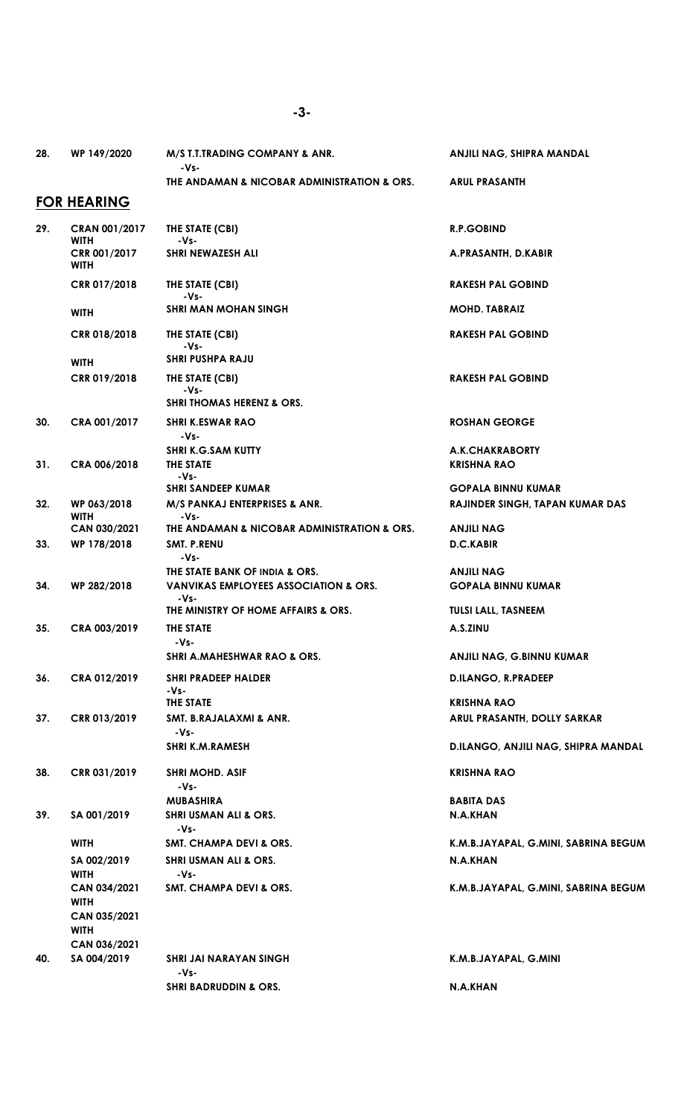ANJILI NAG, SHIPRA MANDAL

28. WP 149/2020 M/S T.T.TRADING COMPANY & ANR.

 -Vs-THE ANDAMAN & NICOBAR ADMINISTRATION & ORS. ARUL PRASANTH

## FOR HEARING

|     | <u>i villeaminv</u>                 |                                                      |                                        |
|-----|-------------------------------------|------------------------------------------------------|----------------------------------------|
| 29. | <b>CRAN 001/2017</b><br><b>WITH</b> | THE STATE (CBI)<br>-Vs-                              | <b>R.P.GOBIND</b>                      |
|     | CRR 001/2017<br><b>WITH</b>         | SHRI NEWAZESH ALI                                    | A.PRASANTH, D.KABIR                    |
|     | CRR 017/2018                        | THE STATE (CBI)<br>-Vs-                              | <b>RAKESH PAL GOBIND</b>               |
|     | <b>WITH</b>                         | <b>SHRI MAN MOHAN SINGH</b>                          | <b>MOHD. TABRAIZ</b>                   |
|     | CRR 018/2018                        | THE STATE (CBI)<br>-Vs-                              | <b>RAKESH PAL GOBIND</b>               |
|     | <b>WITH</b>                         | <b>SHRI PUSHPA RAJU</b>                              |                                        |
|     | CRR 019/2018                        | THE STATE (CBI)<br>-Vs-<br>SHRI THOMAS HERENZ & ORS. | <b>RAKESH PAL GOBIND</b>               |
|     | CRA 001/2017                        |                                                      |                                        |
| 30. |                                     | <b>SHRI K.ESWAR RAO</b><br>$-Vs-$                    | <b>ROSHAN GEORGE</b>                   |
|     |                                     | <b>SHRI K.G.SAM KUTTY</b>                            | A.K.CHAKRABORTY                        |
| 31. | CRA 006/2018                        | THE STATE<br>$-Vs-$                                  | <b>KRISHNA RAO</b>                     |
|     |                                     | <b>SHRI SANDEEP KUMAR</b>                            | <b>GOPALA BINNU KUMAR</b>              |
| 32. | WP 063/2018<br><b>WITH</b>          | M/S PANKAJ ENTERPRISES & ANR.<br>-Vs-                | <b>RAJINDER SINGH, TAPAN KUMAR DAS</b> |
|     | CAN 030/2021                        | THE ANDAMAN & NICOBAR ADMINISTRATION & ORS.          | <b>ANJILI NAG</b>                      |
| 33. | WP 178/2018                         | <b>SMT. P.RENU</b><br>-Vs-                           | <b>D.C.KABIR</b>                       |
|     |                                     | THE STATE BANK OF INDIA & ORS.                       | <b>ANJILI NAG</b>                      |
| 34. | WP 282/2018                         | <b>VANVIKAS EMPLOYEES ASSOCIATION &amp; ORS.</b>     | <b>GOPALA BINNU KUMAR</b>              |
|     |                                     | -Vs-<br>THE MINISTRY OF HOME AFFAIRS & ORS.          | <b>TULSI LALL, TASNEEM</b>             |
| 35. | CRA 003/2019                        | THE STATE<br>-Vs-                                    | A.S.ZINU                               |
|     |                                     | SHRI A.MAHESHWAR RAO & ORS.                          | <b>ANJILI NAG, G.BINNU KUMAR</b>       |
| 36. | CRA 012/2019                        | <b>SHRI PRADEEP HALDER</b><br>-Vs-                   | <b>D.ILANGO, R.PRADEEP</b>             |
|     |                                     | <b>THE STATE</b>                                     | <b>KRISHNA RAO</b>                     |
| 37. | CRR 013/2019                        | SMT. B.RAJALAXMI & ANR.<br>$-Vs-$                    | ARUL PRASANTH, DOLLY SARKAR            |
|     |                                     | <b>SHRI K.M.RAMESH</b>                               | D.ILANGO, ANJILI NAG, SHIPRA MANDAL    |
| 38. | CRR 031/2019                        | <b>SHRI MOHD, ASIF</b><br>-Vs-                       | <b>KRISHNA RAO</b>                     |
|     |                                     | <b>MUBASHIRA</b>                                     | <b>BABITA DAS</b>                      |
| 39. | SA 001/2019                         | <b>SHRI USMAN ALI &amp; ORS.</b><br>-Vs-             | N.A.KHAN                               |
|     | <b>WITH</b>                         | SMT. CHAMPA DEVI & ORS.                              | K.M.B.JAYAPAL, G.MINI, SABRINA BEGUM   |
|     | SA 002/2019                         | <b>SHRI USMAN ALI &amp; ORS.</b>                     | N.A.KHAN                               |
|     | <b>WITH</b>                         | -Vs-                                                 |                                        |
|     | CAN 034/2021<br><b>WITH</b>         | <b>SMT. CHAMPA DEVI &amp; ORS.</b>                   | K.M.B.JAYAPAL, G.MINI, SABRINA BEGUM   |
|     | CAN 035/2021<br><b>WITH</b>         |                                                      |                                        |
|     | CAN 036/2021                        |                                                      |                                        |
| 40. | SA 004/2019                         | SHRI JAI NARAYAN SINGH<br>-Vs-                       | K.M.B.JAYAPAL, G.MINI                  |
|     |                                     | <b>SHRI BADRUDDIN &amp; ORS.</b>                     | N.A.KHAN                               |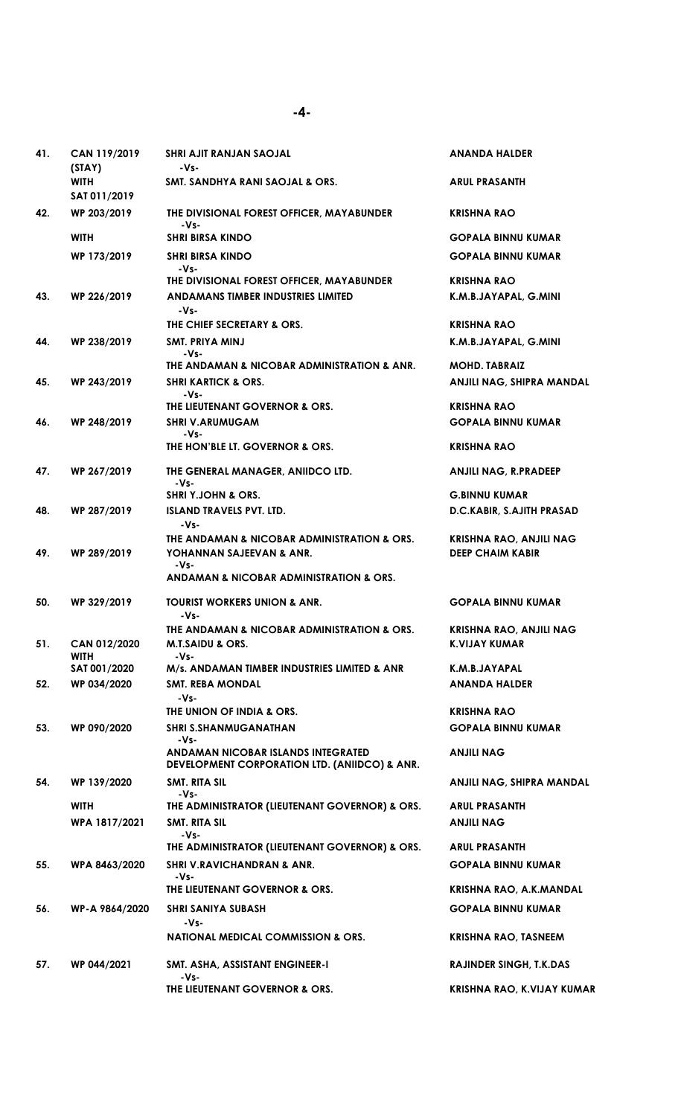| 41. | CAN 119/2019<br>(SIAY)      | SHRI AJIT RANJAN SAOJAL<br>-Vs-                                                     | <b>ANANDA HALDER</b>                                      |
|-----|-----------------------------|-------------------------------------------------------------------------------------|-----------------------------------------------------------|
|     | <b>WITH</b><br>SAT 011/2019 | <b>SMT. SANDHYA RANI SAOJAL &amp; ORS.</b>                                          | <b>ARUL PRASANTH</b>                                      |
| 42. | WP 203/2019                 | THE DIVISIONAL FOREST OFFICER, MAYABUNDER<br>-Vs-                                   | <b>KRISHNA RAO</b>                                        |
|     | <b>WITH</b>                 | <b>SHRI BIRSA KINDO</b>                                                             | <b>GOPALA BINNU KUMAR</b>                                 |
|     | WP 173/2019                 | <b>SHRI BIRSA KINDO</b><br>-Vs-                                                     | <b>GOPALA BINNU KUMAR</b>                                 |
|     |                             | THE DIVISIONAL FOREST OFFICER, MAYABUNDER                                           | <b>KRISHNA RAO</b>                                        |
| 43. | WP 226/2019                 | ANDAMANS TIMBER INDUSTRIES LIMITED<br>-Vs-                                          | K.M.B.JAYAPAL, G.MINI                                     |
|     |                             | THE CHIEF SECRETARY & ORS.                                                          | <b>KRISHNA RAO</b>                                        |
| 44. | WP 238/2019                 | SMT. PRIYA MINJ                                                                     | K.M.B.JAYAPAL, G.MINI                                     |
|     |                             | -Vs-<br>THE ANDAMAN & NICOBAR ADMINISTRATION & ANR.                                 | <b>MOHD. TABRAIZ</b>                                      |
| 45. | WP 243/2019                 | <b>SHRI KARTICK &amp; ORS.</b><br>-Vs-                                              | ANJILI NAG, SHIPRA MANDAL                                 |
|     |                             | THE LIEUTENANT GOVERNOR & ORS.                                                      | KRISHNA RAO                                               |
| 46. | WP 248/2019                 | <b>SHRI V.ARUMUGAM</b><br>-Vs-                                                      | <b>GOPALA BINNU KUMAR</b>                                 |
|     |                             | THE HON'BLE LT. GOVERNOR & ORS.                                                     | <b>KRISHNA RAO</b>                                        |
| 47. | WP 267/2019                 | THE GENERAL MANAGER, ANIIDCO LTD.<br>-Vs-                                           | <b>ANJILI NAG, R.PRADEEP</b>                              |
|     |                             | <b>SHRI Y.JOHN &amp; ORS.</b>                                                       | <b>G.BINNU KUMAR</b>                                      |
| 48. | WP 287/2019                 | <b>ISLAND TRAVELS PVT. LTD.</b><br>-Vs-                                             | D.C.KABIR, S.AJITH PRASAD                                 |
| 49. | WP 289/2019                 | THE ANDAMAN & NICOBAR ADMINISTRATION & ORS.<br>YOHANNAN SAJEEVAN & ANR.<br>-Vs-     | <b>KRISHNA RAO, ANJILI NAG</b><br><b>DEEP CHAIM KABIR</b> |
|     |                             | ANDAMAN & NICOBAR ADMINISTRATION & ORS.                                             |                                                           |
| 50. | WP 329/2019                 | <b>TOURIST WORKERS UNION &amp; ANR.</b><br>-Vs-                                     | <b>GOPALA BINNU KUMAR</b>                                 |
| 51. | CAN 012/2020                | THE ANDAMAN & NICOBAR ADMINISTRATION & ORS.<br><b>M.T.SAIDU &amp; ORS.</b>          | <b>KRISHNA RAO, ANJILI NAG</b><br><b>K.VIJAY KUMAR</b>    |
|     | <b>WITH</b><br>SAT 001/2020 | $-Vs-$<br>M/s. ANDAMAN TIMBER INDUSTRIES LIMITED & ANR                              | K.M.B.JAYAPAL                                             |
| 52. | WP 034/2020                 | <b>SMT. REBA MONDAL</b>                                                             | <b>ANANDA HALDER</b>                                      |
|     |                             | $-Vs-$                                                                              |                                                           |
|     |                             | THE UNION OF INDIA & ORS.                                                           | <b>KRISHNA RAO</b>                                        |
| 53. | WP 090/2020                 | <b>SHRI S.SHANMUGANATHAN</b><br>-Vs-                                                | <b>GOPALA BINNU KUMAR</b>                                 |
|     |                             | ANDAMAN NICOBAR ISLANDS INTEGRATED<br>DEVELOPMENT CORPORATION LTD. (ANIIDCO) & ANR. | <b>ANJILI NAG</b>                                         |
| 54. | WP 139/2020                 | SMT. RITA SIL<br>-Vs-                                                               | ANJILI NAG, SHIPRA MANDAL                                 |
|     | <b>WITH</b>                 | THE ADMINISTRATOR (LIEUTENANT GOVERNOR) & ORS.                                      | <b>ARUL PRASANTH</b>                                      |
|     | WPA 1817/2021               | SMT. RITA SIL<br>$-Vs-$                                                             | <b>ANJILI NAG</b>                                         |
|     |                             | THE ADMINISTRATOR (LIEUTENANT GOVERNOR) & ORS.                                      | <b>ARUL PRASANTH</b>                                      |
| 55. | WPA 8463/2020               | <b>SHRI V.RAVICHANDRAN &amp; ANR.</b><br>$-Vs-$<br>THE LIEUTENANT GOVERNOR & ORS.   | <b>GOPALA BINNU KUMAR</b><br>KRISHNA RAO, A.K.MANDAL      |
| 56. | WP-A 9864/2020              | <b>SHRI SANIYA SUBASH</b>                                                           | <b>GOPALA BINNU KUMAR</b>                                 |
|     |                             | -Vs-                                                                                |                                                           |
|     |                             | <b>NATIONAL MEDICAL COMMISSION &amp; ORS.</b>                                       | <b>KRISHNA RAO, TASNEEM</b>                               |
| 57. | WP 044/2021                 | SMT. ASHA, ASSISTANT ENGINEER-I<br>$-Vs-$                                           | <b>RAJINDER SINGH, T.K.DAS</b>                            |
|     |                             | THE LIEUTENANT GOVERNOR & ORS.                                                      | KRISHNA RAO, K.VIJAY KUMAR                                |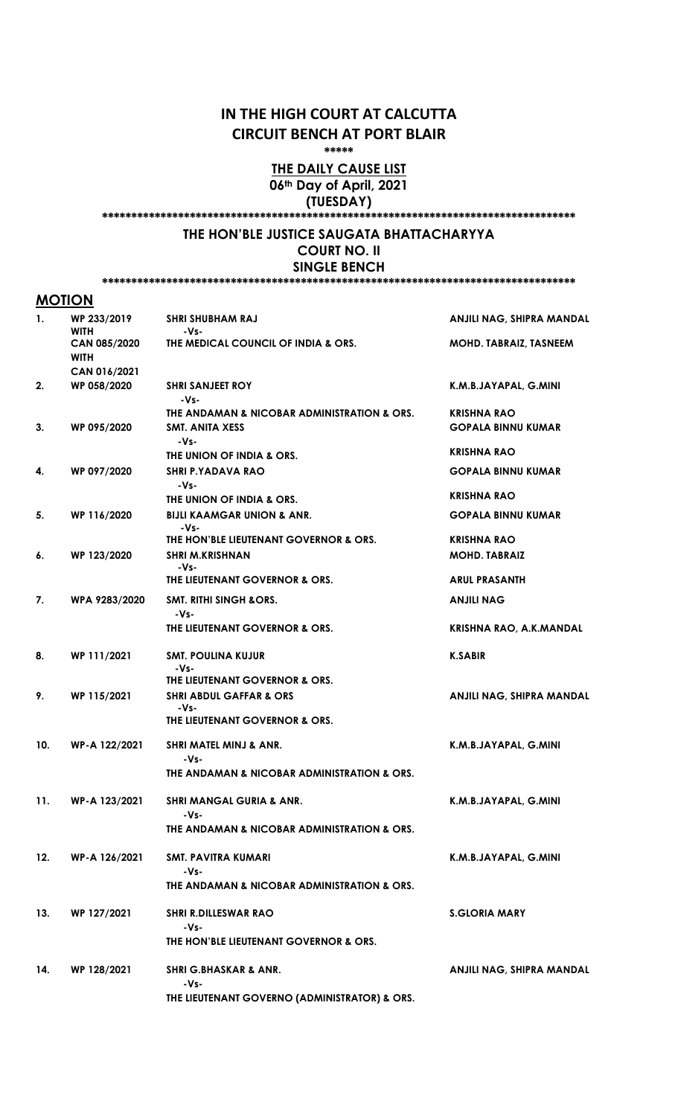## IN THE HIGH COURT AT CALCUTTA CIRCUIT BENCH AT PORT BLAIR

\*\*\*\*\*

## THE DAILY CAUSE LIST 06<sup>th</sup> Day of April, 2021 (TUESDAY)

\*\*\*\*\*\*\*\*\*\*\*\*\*\*\*\*\*\*\*\*\*\*\*\*\*\*\*\*\*\*\*\*\*\*\*\*\*\*\*\*\*\*\*\*\*\*\*\*\*\*\*\*\*\*\*\*\*\*\*\*\*\*\*\*\*\*\*\*\*\*\*\*\*\*\*\*\*\*\*\*\*

## THE HON'BLE JUSTICE SAUGATA BHATTACHARYYA COURT NO. II

SINGLE BENCH \*\*\*\*\*\*\*\*\*\*\*\*\*\*\*\*\*\*\*\*\*\*\*\*\*\*\*\*\*\*\*\*\*\*\*\*\*\*\*\*\*\*\*\*\*\*\*\*\*\*\*\*\*\*\*\*\*\*\*\*\*\*\*\*\*\*\*\*\*\*\*\*\*\*\*\*\*\*\*\*\*

## **MOTION**

| 1.  | WP 233/2019<br><b>WITH</b>                  | <b>SHRI SHUBHAM RAJ</b><br>-Vs-                                                | ANJILI NAG, SHIPRA MANDAL                       |
|-----|---------------------------------------------|--------------------------------------------------------------------------------|-------------------------------------------------|
|     | CAN 085/2020<br><b>WITH</b><br>CAN 016/2021 | THE MEDICAL COUNCIL OF INDIA & ORS.                                            | MOHD. TABRAIZ, TASNEEM                          |
| 2.  | WP 058/2020                                 | <b>SHRI SANJEET ROY</b><br>-Vs-                                                | K.M.B.JAYAPAL, G.MINI                           |
| 3.  | WP 095/2020                                 | THE ANDAMAN & NICOBAR ADMINISTRATION & ORS.<br><b>SMT. ANITA XESS</b>          | <b>KRISHNA RAO</b><br><b>GOPALA BINNU KUMAR</b> |
|     |                                             | $-Vs-$<br>THE UNION OF INDIA & ORS.                                            | <b>KRISHNA RAO</b>                              |
| 4.  | WP 097/2020                                 | <b>SHRI P.YADAVA RAO</b><br>-Vs-                                               | <b>GOPALA BINNU KUMAR</b>                       |
|     |                                             | THE UNION OF INDIA & ORS.                                                      | <b>KRISHNA RAO</b>                              |
| 5.  | WP 116/2020                                 | <b>BIJLI KAAMGAR UNION &amp; ANR.</b><br>-Vs-                                  | <b>GOPALA BINNU KUMAR</b>                       |
| 6.  | WP 123/2020                                 | THE HON'BLE LIEUTENANT GOVERNOR & ORS.<br><b>SHRI M.KRISHNAN</b>               | <b>KRISHNA RAO</b><br><b>MOHD. TABRAIZ</b>      |
|     |                                             | -Vs-<br>THE LIEUTENANT GOVERNOR & ORS.                                         | <b>ARUL PRASANTH</b>                            |
| 7.  | WPA 9283/2020                               | <b>SMT. RITHI SINGH &amp;ORS.</b><br>$-Vs-$                                    | <b>ANJILI NAG</b>                               |
|     |                                             | THE LIEUTENANT GOVERNOR & ORS.                                                 | <b>KRISHNA RAO, A.K.MANDAL</b>                  |
| 8.  | WP 111/2021                                 | <b>SMT. POULINA KUJUR</b><br>-Vs-                                              | <b>K.SABIR</b>                                  |
|     |                                             | THE LIEUTENANT GOVERNOR & ORS.                                                 |                                                 |
| 9.  | WP 115/2021                                 | <b>SHRI ABDUL GAFFAR &amp; ORS</b><br>$-Vs-$<br>THE LIEUTENANT GOVERNOR & ORS. | ANJILI NAG, SHIPRA MANDAL                       |
|     |                                             |                                                                                |                                                 |
| 10. | WP-A 122/2021                               | <b>SHRI MATEL MINJ &amp; ANR.</b><br>-Vs-                                      | K.M.B.JAYAPAL, G.MINI                           |
|     |                                             | THE ANDAMAN & NICOBAR ADMINISTRATION & ORS.                                    |                                                 |
| 11. | WP-A 123/2021                               | <b>SHRI MANGAL GURIA &amp; ANR.</b><br>-Vs-                                    | K.M.B.JAYAPAL, G.MINI                           |
|     |                                             | THE ANDAMAN & NICOBAR ADMINISTRATION & ORS.                                    |                                                 |
| 12. | WP-A 126/2021                               | SMT. PAVITRA KUMARI<br>-Vs-                                                    | K.M.B.JAYAPAL, G.MINI                           |
|     |                                             | THE ANDAMAN & NICOBAR ADMINISTRATION & ORS.                                    |                                                 |
| 13. | WP 127/2021                                 | <b>SHRI R.DILLESWAR RAO</b><br>-Vs-                                            | <b>S.GLORIA MARY</b>                            |
|     |                                             | THE HON'BLE LIEUTENANT GOVERNOR & ORS.                                         |                                                 |
| 14. | WP 128/2021                                 | <b>SHRI G.BHASKAR &amp; ANR.</b><br>-Vs-                                       | ANJILI NAG, SHIPRA MANDAL                       |
|     |                                             | THE LIEUTENANT GOVERNO (ADMINISTRATOR) & ORS.                                  |                                                 |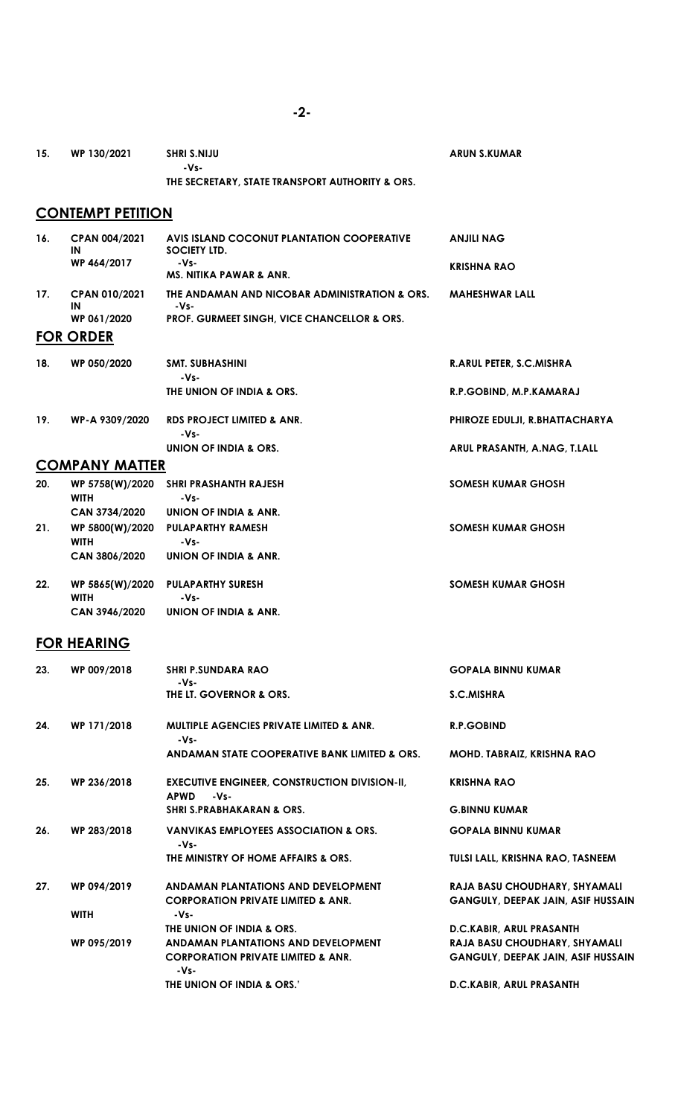| 15.                      | WP 130/2021                     | SHRI S.NIJU<br>-Vs-                                                                                               | ARUN S.KUMAR                                                                                           |  |  |  |  |
|--------------------------|---------------------------------|-------------------------------------------------------------------------------------------------------------------|--------------------------------------------------------------------------------------------------------|--|--|--|--|
|                          |                                 | THE SECRETARY, STATE TRANSPORT AUTHORITY & ORS.                                                                   |                                                                                                        |  |  |  |  |
| <b>CONTEMPT PETITION</b> |                                 |                                                                                                                   |                                                                                                        |  |  |  |  |
| 16.                      | CPAN 004/2021<br>ΙN             | AVIS ISLAND COCONUT PLANTATION COOPERATIVE<br>SOCIETY LTD.                                                        | ANJILI NAG                                                                                             |  |  |  |  |
|                          | WP 464/2017                     | -Vs-<br><b>MS. NITIKA PAWAR &amp; ANR.</b>                                                                        | <b>KRISHNA RAO</b>                                                                                     |  |  |  |  |
| 17.                      | <b>CPAN 010/2021</b><br>ΙN      | THE ANDAMAN AND NICOBAR ADMINISTRATION & ORS.<br>-Vs-                                                             | <b>MAHESHWAR LALL</b>                                                                                  |  |  |  |  |
|                          | WP 061/2020<br><b>FOR ORDER</b> | PROF. GURMEET SINGH, VICE CHANCELLOR & ORS.                                                                       |                                                                                                        |  |  |  |  |
| 18.                      | WP 050/2020                     | SMT. SUBHASHINI                                                                                                   | <b>R.ARUL PETER, S.C.MISHRA</b>                                                                        |  |  |  |  |
|                          |                                 | -Vs-<br>THE UNION OF INDIA & ORS.                                                                                 | R.P.GOBIND, M.P.KAMARAJ                                                                                |  |  |  |  |
| 19.                      | WP-A 9309/2020                  | RDS PROJECT LIMITED & ANR.<br>-Vs-                                                                                | PHIROZE EDULJI, R.BHATTACHARYA                                                                         |  |  |  |  |
|                          |                                 | UNION OF INDIA & ORS.                                                                                             | ARUL PRASANTH, A.NAG, T.LALL                                                                           |  |  |  |  |
|                          | <b>COMPANY MATTER</b>           |                                                                                                                   |                                                                                                        |  |  |  |  |
| 20.                      | WP 5758(W)/2020<br><b>WITH</b>  | SHRI PRASHANTH RAJESH<br>-Vs-                                                                                     | SOMESH KUMAR GHOSH                                                                                     |  |  |  |  |
|                          | CAN 3734/2020                   | UNION OF INDIA & ANR.                                                                                             |                                                                                                        |  |  |  |  |
| 21.                      | WP 5800(W)/2020<br><b>WITH</b>  | <b>PULAPARTHY RAMESH</b><br>-Vs-                                                                                  | SOMESH KUMAR GHOSH                                                                                     |  |  |  |  |
|                          | CAN 3806/2020                   | UNION OF INDIA & ANR.                                                                                             |                                                                                                        |  |  |  |  |
| 22.                      | WP 5865(W)/2020<br><b>WITH</b>  | <b>PULAPARTHY SURESH</b><br>-Vs-                                                                                  | SOMESH KUMAR GHOSH                                                                                     |  |  |  |  |
|                          | CAN 3946/2020                   | UNION OF INDIA & ANR.                                                                                             |                                                                                                        |  |  |  |  |
|                          | <b>FOR HEARING</b>              |                                                                                                                   |                                                                                                        |  |  |  |  |
| 23.                      | WP 009/2018                     | <b>SHRI P.SUNDARA RAO</b><br>-Vs-                                                                                 | <b>GOPALA BINNU KUMAR</b>                                                                              |  |  |  |  |
|                          |                                 | THE LT. GOVERNOR & ORS.                                                                                           | <b>S.C.MISHRA</b>                                                                                      |  |  |  |  |
| 24.                      | WP 171/2018                     | <b>MULTIPLE AGENCIES PRIVATE LIMITED &amp; ANR.</b><br>-Vs-                                                       | R.P.GOBIND                                                                                             |  |  |  |  |
|                          |                                 | ANDAMAN STATE COOPERATIVE BANK LIMITED & ORS.                                                                     | MOHD. TABRAIZ, KRISHNA RAO                                                                             |  |  |  |  |
| 25.                      | WP 236/2018                     | <b>EXECUTIVE ENGINEER, CONSTRUCTION DIVISION-II,</b><br><b>APWD</b><br>-Vs-                                       | <b>KRISHNA RAO</b>                                                                                     |  |  |  |  |
|                          |                                 | <b>SHRI S.PRABHAKARAN &amp; ORS.</b>                                                                              | <b>G.BINNU KUMAR</b>                                                                                   |  |  |  |  |
| 26.                      | WP 283/2018                     | <b>VANVIKAS EMPLOYEES ASSOCIATION &amp; ORS.</b><br>-Vs-                                                          | <b>GOPALA BINNU KUMAR</b>                                                                              |  |  |  |  |
|                          |                                 | THE MINISTRY OF HOME AFFAIRS & ORS.                                                                               | TULSI LALL, KRISHNA RAO, TASNEEM                                                                       |  |  |  |  |
| 27.                      | WP 094/2019                     | ANDAMAN PLANTATIONS AND DEVELOPMENT<br><b>CORPORATION PRIVATE LIMITED &amp; ANR.</b>                              | RAJA BASU CHOUDHARY, SHYAMALI<br><b>GANGULY, DEEPAK JAIN, ASIF HUSSAIN</b>                             |  |  |  |  |
|                          | <b>WITH</b>                     | -Vs-                                                                                                              |                                                                                                        |  |  |  |  |
|                          | WP 095/2019                     | THE UNION OF INDIA & ORS.<br>ANDAMAN PLANTATIONS AND DEVELOPMENT<br><b>CORPORATION PRIVATE LIMITED &amp; ANR.</b> | D.C.KABIR, ARUL PRASANTH<br>RAJA BASU CHOUDHARY, SHYAMALI<br><b>GANGULY, DEEPAK JAIN, ASIF HUSSAIN</b> |  |  |  |  |

D.C.KABIR, ARUL PRASANTH

-Vs-

THE UNION OF INDIA & ORS.'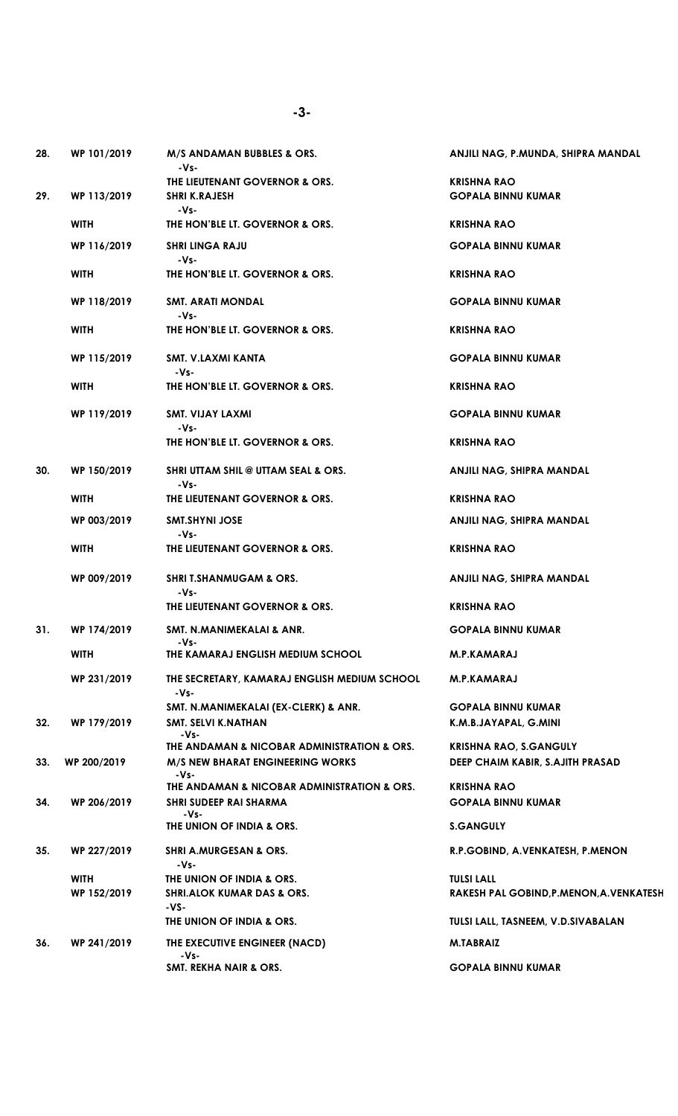| 28. | WP 101/2019 | M/S ANDAMAN BUBBLES & ORS.<br>$-Vs-$                                                           | ANJILI NAG, P.MUNDA, SHIPRA MANDAL                     |
|-----|-------------|------------------------------------------------------------------------------------------------|--------------------------------------------------------|
|     |             | THE LIEUTENANT GOVERNOR & ORS.                                                                 | <b>KRISHNA RAO</b>                                     |
| 29. | WP 113/2019 | <b>SHRI K.RAJESH</b><br>-Vs-                                                                   | <b>GOPALA BINNU KUMAR</b>                              |
|     | <b>WITH</b> | THE HON'BLE LT. GOVERNOR & ORS.                                                                | <b>KRISHNA RAO</b>                                     |
|     | WP 116/2019 | <b>SHRI LINGA RAJU</b><br>-Vs-                                                                 | <b>GOPALA BINNU KUMAR</b>                              |
|     | <b>WITH</b> | THE HON'BLE LT. GOVERNOR & ORS.                                                                | <b>KRISHNA RAO</b>                                     |
|     | WP 118/2019 | <b>SMT. ARATI MONDAL</b><br>-Vs-                                                               | <b>GOPALA BINNU KUMAR</b>                              |
|     | <b>WITH</b> | THE HON'BLE LT. GOVERNOR & ORS.                                                                | <b>KRISHNA RAO</b>                                     |
|     | WP 115/2019 | SMT. V.LAXMI KANTA<br>-Vs-                                                                     | <b>GOPALA BINNU KUMAR</b>                              |
|     | <b>WITH</b> | THE HON'BLE LT. GOVERNOR & ORS.                                                                | <b>KRISHNA RAO</b>                                     |
|     | WP 119/2019 | SMT. VIJAY LAXMI<br>-Vs-                                                                       | <b>GOPALA BINNU KUMAR</b>                              |
|     |             | THE HON'BLE LT. GOVERNOR & ORS.                                                                | <b>KRISHNA RAO</b>                                     |
| 30. | WP 150/2019 | <b>SHRI UTTAM SHIL @ UTTAM SEAL &amp; ORS.</b><br>-Vs-                                         | ANJILI NAG, SHIPRA MANDAL                              |
|     | <b>WITH</b> | THE LIEUTENANT GOVERNOR & ORS.                                                                 | <b>KRISHNA RAO</b>                                     |
|     | WP 003/2019 | <b>SMT.SHYNI JOSE</b><br>-Vs-                                                                  | ANJILI NAG, SHIPRA MANDAL                              |
|     | <b>WITH</b> | THE LIEUTENANT GOVERNOR & ORS.                                                                 | <b>KRISHNA RAO</b>                                     |
|     | WP 009/2019 | <b>SHRI T.SHANMUGAM &amp; ORS.</b><br>-Vs-                                                     | ANJILI NAG, SHIPRA MANDAL                              |
|     |             | THE LIEUTENANT GOVERNOR & ORS.                                                                 | <b>KRISHNA RAO</b>                                     |
| 31. | WP 174/2019 | SMT. N.MANIMEKALAI & ANR.<br>-Vs-                                                              | <b>GOPALA BINNU KUMAR</b>                              |
|     | <b>WITH</b> | THE KAMARAJ ENGLISH MEDIUM SCHOOL                                                              | M.P.KAMARAJ                                            |
|     | WP 231/2019 | THE SECRETARY, KAMARAJ ENGLISH MEDIUM SCHOOL<br>$-Vs-$                                         | <b>M.P.KAMARAJ</b>                                     |
|     |             | SMT. N.MANIMEKALAI (EX-CLERK) & ANR.                                                           | <b>GOPALA BINNU KUMAR</b>                              |
| 32. | WP 179/2019 | SMT. SELVI K.NATHAN<br>-Vs-                                                                    | K.M.B.JAYAPAL, G.MINI                                  |
|     |             | THE ANDAMAN & NICOBAR ADMINISTRATION & ORS.                                                    | <b>KRISHNA RAO, S.GANGULY</b>                          |
| 33. | WP 200/2019 | <b>M/S NEW BHARAT ENGINEERING WORKS</b><br>-Vs-<br>THE ANDAMAN & NICOBAR ADMINISTRATION & ORS. | DEEP CHAIM KABIR, S.AJITH PRASAD<br><b>KRISHNA RAO</b> |
| 34. | WP 206/2019 | <b>SHRI SUDEEP RAI SHARMA</b><br>-Vs-                                                          | <b>GOPALA BINNU KUMAR</b>                              |
|     |             | THE UNION OF INDIA & ORS.                                                                      | <b>S.GANGULY</b>                                       |
| 35. | WP 227/2019 | <b>SHRI A.MURGESAN &amp; ORS.</b><br>-Vs-                                                      | R.P.GOBIND, A.VENKATESH, P.MENON                       |
|     | <b>WITH</b> | THE UNION OF INDIA & ORS.                                                                      | <b>TULSI LALL</b>                                      |
|     | WP 152/2019 | <b>SHRI.ALOK KUMAR DAS &amp; ORS.</b><br>$-VS-$                                                | RAKESH PAL GOBIND, P.MENON, A. VENKATESH               |
|     |             | THE UNION OF INDIA & ORS.                                                                      | TULSI LALL, TASNEEM, V.D.SIVABALAN                     |
| 36. | WP 241/2019 | THE EXECUTIVE ENGINEER (NACD)<br>-Vs-                                                          | <b>M.TABRAIZ</b>                                       |
|     |             | <b>SMT. REKHA NAIR &amp; ORS.</b>                                                              | <b>GOPALA BINNU KUMAR</b>                              |

-3-